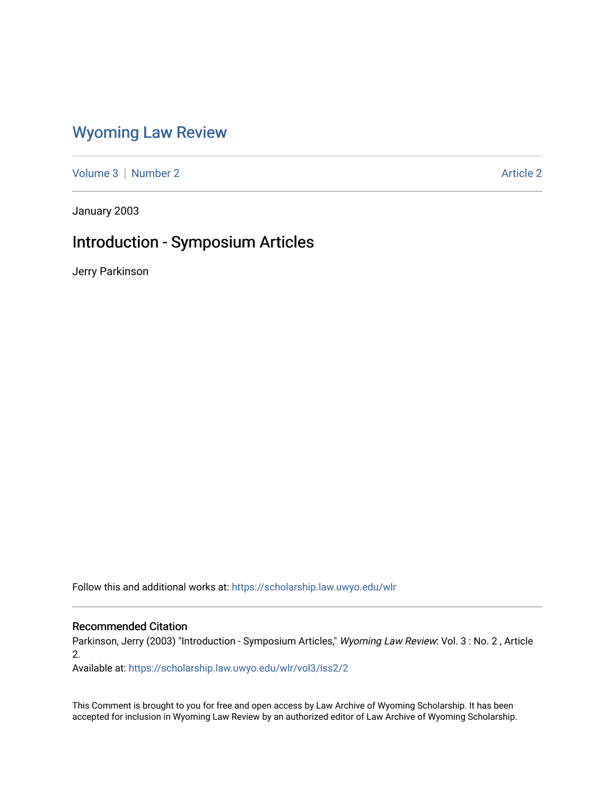### [Wyoming Law Review](https://scholarship.law.uwyo.edu/wlr)

[Volume 3](https://scholarship.law.uwyo.edu/wlr/vol3) | [Number 2](https://scholarship.law.uwyo.edu/wlr/vol3/iss2) Article 2

January 2003

### Introduction - Symposium Articles

Jerry Parkinson

Follow this and additional works at: [https://scholarship.law.uwyo.edu/wlr](https://scholarship.law.uwyo.edu/wlr?utm_source=scholarship.law.uwyo.edu%2Fwlr%2Fvol3%2Fiss2%2F2&utm_medium=PDF&utm_campaign=PDFCoverPages) 

#### Recommended Citation

Parkinson, Jerry (2003) "Introduction - Symposium Articles," Wyoming Law Review: Vol. 3 : No. 2, Article 2.

Available at: [https://scholarship.law.uwyo.edu/wlr/vol3/iss2/2](https://scholarship.law.uwyo.edu/wlr/vol3/iss2/2?utm_source=scholarship.law.uwyo.edu%2Fwlr%2Fvol3%2Fiss2%2F2&utm_medium=PDF&utm_campaign=PDFCoverPages) 

This Comment is brought to you for free and open access by Law Archive of Wyoming Scholarship. It has been accepted for inclusion in Wyoming Law Review by an authorized editor of Law Archive of Wyoming Scholarship.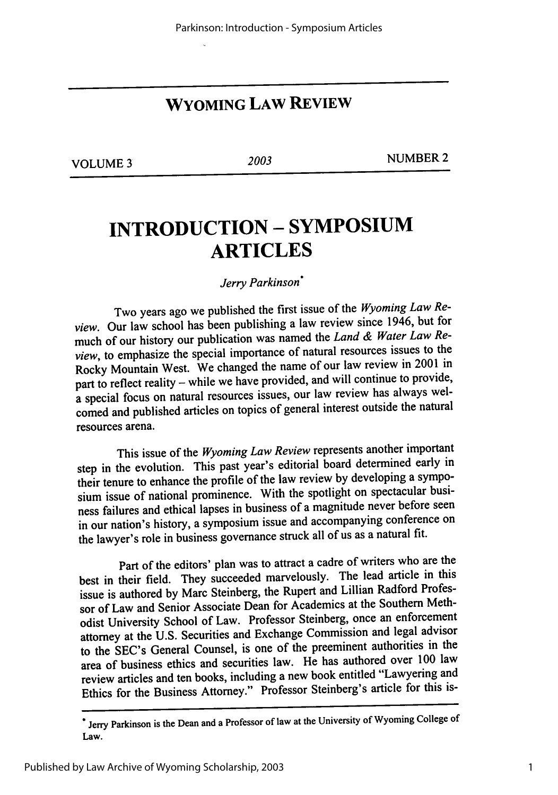## **WYOMING LAW REVIEW**

**VOLUME 3** 2003 NUMBER 2

# **INTRODUCTION - SYMPOSIUM ARTICLES**

*Jerry Parkinson\**

Two years ago we published the first issue of the *Wyoming Law Review.* Our law school has been publishing a law review since 1946, but for much of our history our publication was named the *Land & Water Law Review,* to emphasize the special importance of natural resources issues to the Rocky Mountain West. We changed the name of our law review in 2001 in part to reflect reality - while we have provided, and will continue to provide, a special focus on natural resources issues, our law review has always welcomed and published articles on topics of general interest outside the natural resources arena.

This issue of the *Wyoming Law Review* represents another important step in the evolution. This past year's editorial board determined early in their tenure to enhance the profile of the law review by developing a symposium issue of national prominence. With the spotlight on spectacular business failures and ethical lapses in business of a magnitude never before seen in our nation's history, a symposium issue and accompanying conference on the lawyer's role in business governance struck all of us as a natural fit.

Part of the editors' plan was to attract a cadre of writers who are the best in their field. They succeeded marvelously. The lead article in this issue is authored by Marc Steinberg, the Rupert and Lillian Radford Professor of Law and Senior Associate Dean for Academics at the Southern Methodist University School of Law. Professor Steinberg, once an enforcement attorney at the U.S. Securities and Exchange Commission and legal advisor to the SEC's General Counsel, is one of the preeminent authorities in the area of business ethics and securities law. He has authored over 100 law review articles and ten books, including a new book entitled "Lawyering and Ethics for the Business Attorney." Professor Steinberg's article for this is-

**<sup>.</sup>** Jerry **Parkinson is** the **Dean and a Professor of law at the** University **of Wyoming** College **of** Law.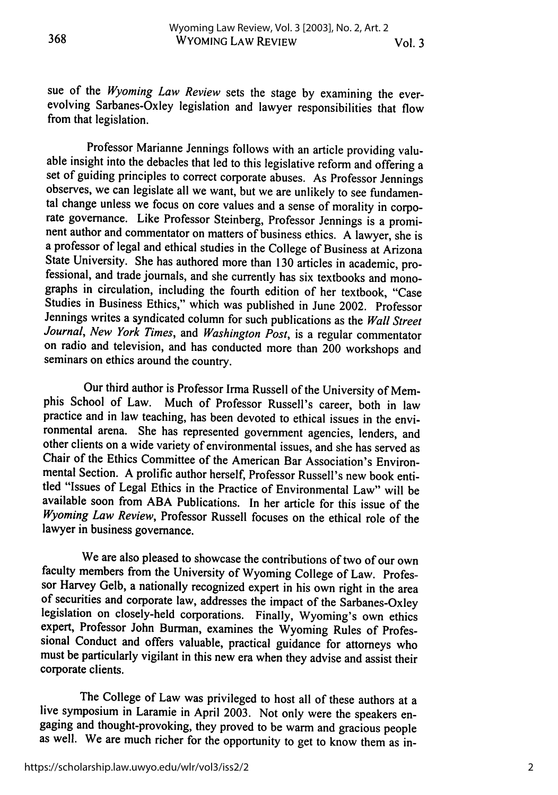368

sue of the *Wyoming Law Review* sets the stage by examining the everevolving Sarbanes-Oxley legislation and lawyer responsibilities that flow from that legislation.

Professor Marianne Jennings follows with an article providing valuable insight into the debacles that led to this legislative reform and offering a set of guiding principles to correct corporate abuses. As Professor Jennings observes, we can legislate all we want, but we are unlikely to see fundamental change unless we focus on core values and a sense of morality in corporate governance. Like Professor Steinberg, Professor Jennings is a promi- nent author and commentator on matters of business ethics. A lawyer, she is a professor of legal and ethical studies in the College of Business at Arizona State University. She has authored more than 130 articles in academic, pro-<br>fessional, and trade journals, and she currently has six textbooks and monographs in circulation, including the fourth edition of her textbook, "Case Studies in Business Ethics," which was published in June 2002. Professor Jennings writes a syndicated column for such publications as the *Wall Street Journal, New York Times,* and *Washington Post,* is a regular commentator on radio and television, and has conducted more than 200 workshops and seminars on ethics around the country.

Our third author is Professor Irma Russell of the University of Memphis School of Law. Much of Professor Russell's career, both in law practice and in law teaching, has been devoted to ethical issues in the environmental arena. She has represented government agencies, lenders, and other clients on a wide variety of environmental issues, and she has served as Chair of the Ethics Committee of the American Bar Association's Environmental Section. A prolific author herself, Professor Russell's new book entitled "Issues of Legal Ethics in the Practice of Environmental Law" will be available soon from ABA Publications. In her article for this issue of the *Wyoming Law Review,* Professor Russell focuses on the ethical role of the lawyer in business governance.

We are also pleased to showcase the contributions of two of our own faculty members from the University of Wyoming College of Law. Professor Harvey Gelb, a nationally recognized expert in his own right in the area of securities and corporate law, addresses the impact of the Sarbanes-Oxley legislation on closely-held corporations. Finally, Wyoming's own ethics expert, Professor John Burman, examines the Wyoming Rules of Professional Conduct and offers valuable, practical guidance for attorneys who must be particularly vigilant in this new era when they advise and assist their corporate clients.

The College of Law was privileged to host all of these authors at a live symposium in Laramie in April 2003. Not only were the speakers engaging and thought-provoking, they proved to be warm and gracious people as well. We are much richer for the opportunity to get to know them as in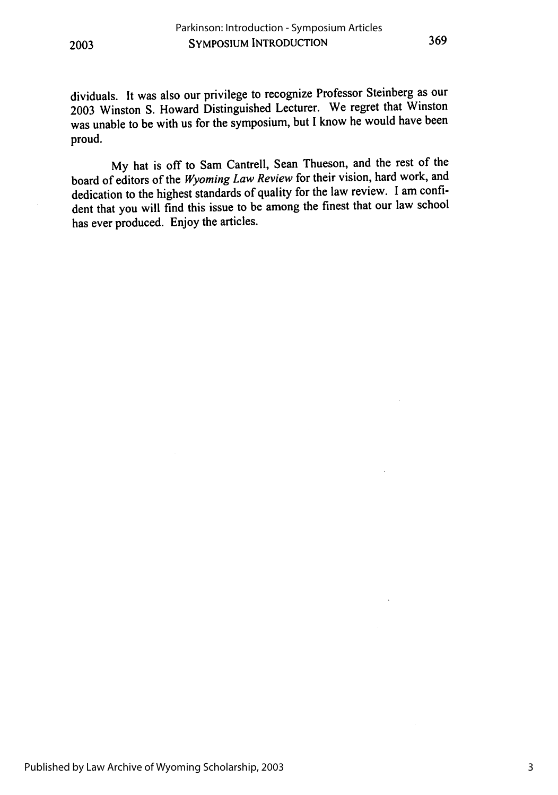dividuals. It was also our privilege to recognize Professor Steinberg as our 2003 Winston S. Howard Distinguished Lecturer. We regret that Winston was unable to be with us for the symposium, but I know he would have been proud.

My hat is off to Sam Cantrell, Sean Thueson, and the rest of the board of editors of the *Wyoming Law Review* for their vision, hard work, and dedication to the highest standards of quality for the law review. I am confident that you will find this issue to be among the finest that our law school has ever produced. Enjoy the articles.